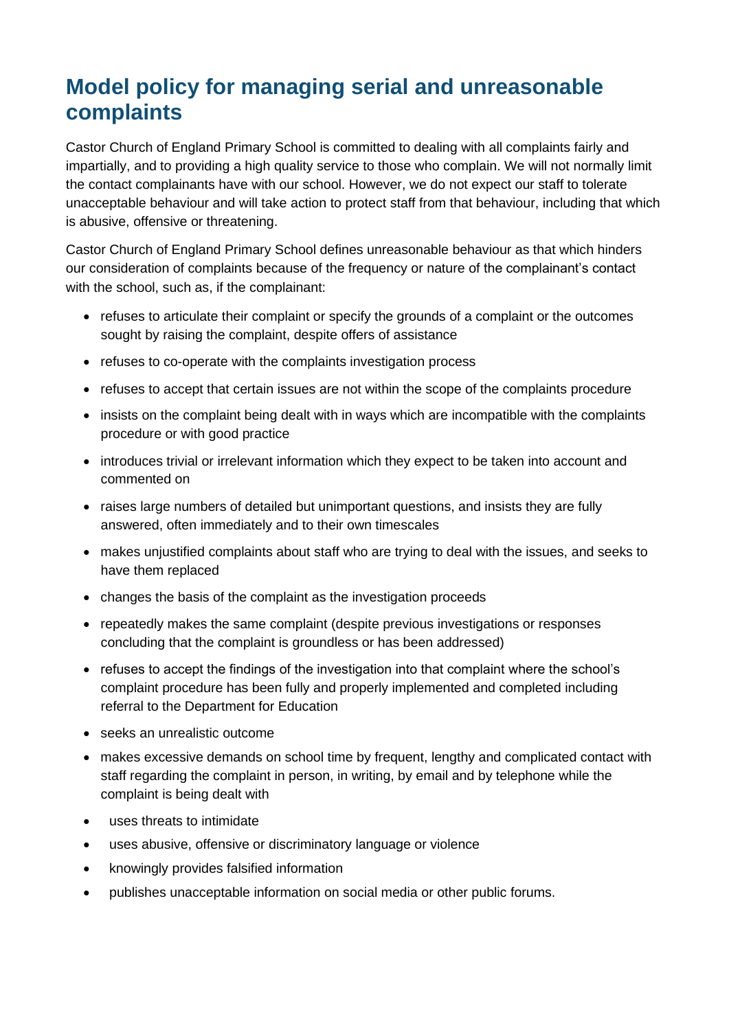## **Model policy for managing serial and unreasonable complaints**

Castor Church of England Primary School is committed to dealing with all complaints fairly and impartially, and to providing a high quality service to those who complain. We will not normally limit the contact complainants have with our school. However, we do not expect our staff to tolerate unacceptable behaviour and will take action to protect staff from that behaviour, including that which is abusive, offensive or threatening.

Castor Church of England Primary School defines unreasonable behaviour as that which hinders our consideration of complaints because of the frequency or nature of the complainant's contact with the school, such as, if the complainant:

- refuses to articulate their complaint or specify the grounds of a complaint or the outcomes sought by raising the complaint, despite offers of assistance
- refuses to co-operate with the complaints investigation process
- refuses to accept that certain issues are not within the scope of the complaints procedure
- insists on the complaint being dealt with in ways which are incompatible with the complaints procedure or with good practice
- introduces trivial or irrelevant information which they expect to be taken into account and commented on
- raises large numbers of detailed but unimportant questions, and insists they are fully answered, often immediately and to their own timescales
- makes unjustified complaints about staff who are trying to deal with the issues, and seeks to have them replaced
- changes the basis of the complaint as the investigation proceeds
- repeatedly makes the same complaint (despite previous investigations or responses concluding that the complaint is groundless or has been addressed)
- refuses to accept the findings of the investigation into that complaint where the school's complaint procedure has been fully and properly implemented and completed including referral to the Department for Education
- seeks an unrealistic outcome
- makes excessive demands on school time by frequent, lengthy and complicated contact with staff regarding the complaint in person, in writing, by email and by telephone while the complaint is being dealt with
- uses threats to intimidate
- uses abusive, offensive or discriminatory language or violence
- knowingly provides falsified information
- publishes unacceptable information on social media or other public forums.